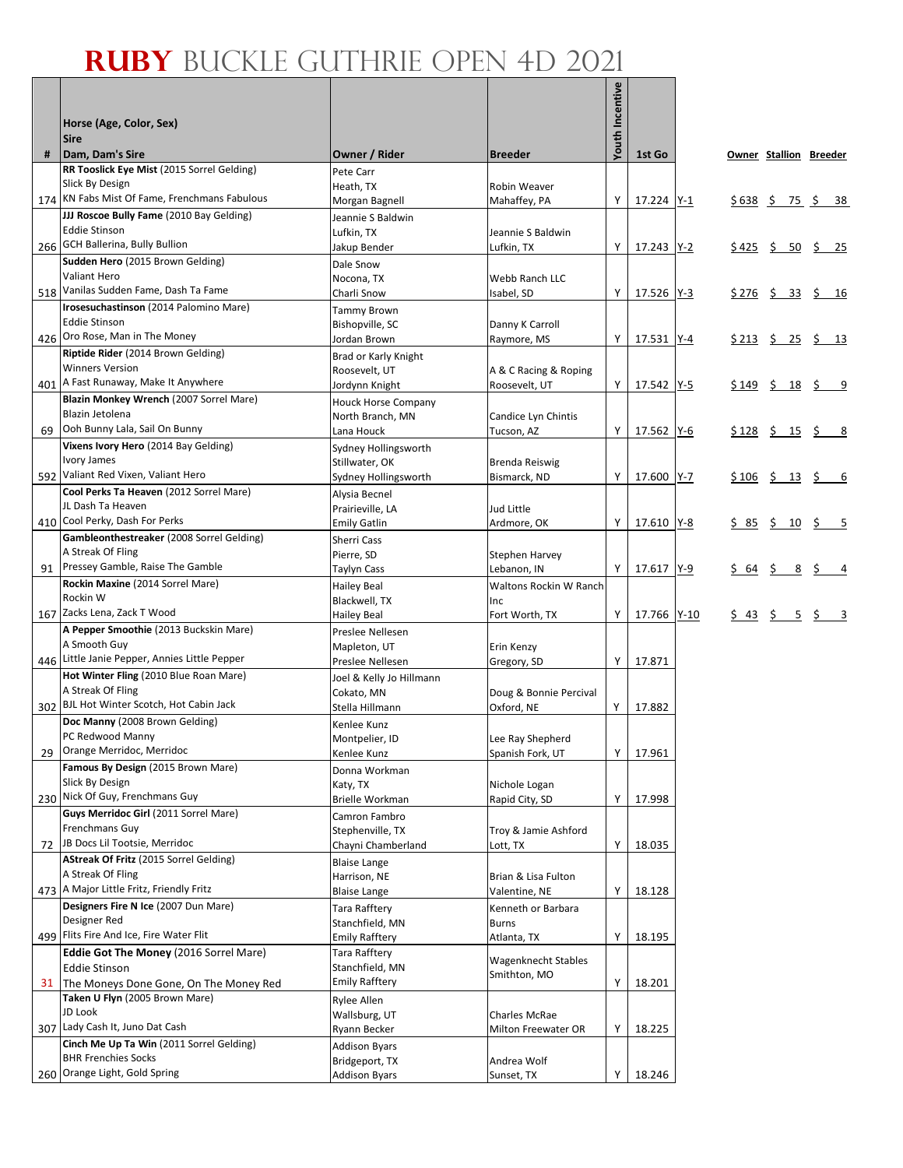## **RUBY** BUCKLE GUTHRIE OPEN 4D 2021

Г

|    | Horse (Age, Color, Sex)<br><b>Sire</b>                           |                                        |                                      | <b>Youth Incentive</b> |                   |        |                 |                                                                                       |
|----|------------------------------------------------------------------|----------------------------------------|--------------------------------------|------------------------|-------------------|--------|-----------------|---------------------------------------------------------------------------------------|
| #  | Dam, Dam's Sire                                                  | Owner / Rider                          | <b>Breeder</b>                       |                        | 1st Go            |        |                 | Owner Stallion Breeder                                                                |
|    | RR Tooslick Eye Mist (2015 Sorrel Gelding)                       | Pete Carr                              |                                      |                        |                   |        |                 |                                                                                       |
|    | Slick By Design<br>174 KN Fabs Mist Of Fame, Frenchmans Fabulous | Heath, TX                              | Robin Weaver                         | Y                      |                   |        |                 |                                                                                       |
|    | JJJ Roscoe Bully Fame (2010 Bay Gelding)                         | Morgan Bagnell<br>Jeannie S Baldwin    | Mahaffey, PA                         |                        | 17.224 Y-1        |        |                 | $$638 \t$ 75 \t$ 38$                                                                  |
|    | <b>Eddie Stinson</b>                                             | Lufkin. TX                             | Jeannie S Baldwin                    |                        |                   |        |                 |                                                                                       |
|    | 266 GCH Ballerina, Bully Bullion                                 | Jakup Bender                           | Lufkin, TX                           | Υ                      | 17.243 Y-2        |        |                 | $$425$ \$ 50 \$ 25                                                                    |
|    | Sudden Hero (2015 Brown Gelding)                                 | Dale Snow                              |                                      |                        |                   |        |                 |                                                                                       |
|    | <b>Valiant Hero</b>                                              | Nocona, TX                             | Webb Ranch LLC                       |                        |                   |        |                 |                                                                                       |
|    | 518 Vanilas Sudden Fame, Dash Ta Fame                            | Charli Snow                            | Isabel, SD                           | Υ                      | 17.526 <u>Y-3</u> |        |                 | $$276$ \$ 33 \$ 16                                                                    |
|    | Irosesuchastinson (2014 Palomino Mare)<br><b>Eddie Stinson</b>   | Tammy Brown                            |                                      |                        |                   |        |                 |                                                                                       |
|    | 426 Oro Rose, Man in The Money                                   | Bishopville, SC<br>Jordan Brown        | Danny K Carroll<br>Raymore, MS       | Y                      | 17.531 Y-4        |        |                 | $$213 \t$ 25 \t$ 13$                                                                  |
|    | Riptide Rider (2014 Brown Gelding)                               | Brad or Karly Knight                   |                                      |                        |                   |        |                 |                                                                                       |
|    | <b>Winners Version</b>                                           | Roosevelt, UT                          | A & C Racing & Roping                |                        |                   |        |                 |                                                                                       |
|    | 401 A Fast Runaway, Make It Anywhere                             | Jordynn Knight                         | Roosevelt, UT                        | Y                      | 17.542 Y-5        | \$ 149 | \$<br><u>18</u> | $\zeta$ 9                                                                             |
|    | Blazin Monkey Wrench (2007 Sorrel Mare)                          | <b>Houck Horse Company</b>             |                                      |                        |                   |        |                 |                                                                                       |
| 69 | Blazin Jetolena<br>Ooh Bunny Lala, Sail On Bunny                 | North Branch, MN                       | Candice Lyn Chintis                  | Y                      |                   |        |                 |                                                                                       |
|    | Vixens Ivory Hero (2014 Bay Gelding)                             | Lana Houck<br>Sydney Hollingsworth     | Tucson, AZ                           |                        | 17.562 Y-6        |        |                 | $$128 \t$ 15 \t$ 8$                                                                   |
|    | <b>Ivory James</b>                                               | Stillwater, OK                         | <b>Brenda Reiswig</b>                |                        |                   |        |                 |                                                                                       |
|    | 592 Valiant Red Vixen, Valiant Hero                              | Sydney Hollingsworth                   | Bismarck, ND                         | Y                      | 17.600 Y-7        |        |                 | $$106$ \$ 13 \$ 6                                                                     |
|    | Cool Perks Ta Heaven (2012 Sorrel Mare)                          | Alysia Becnel                          |                                      |                        |                   |        |                 |                                                                                       |
|    | JL Dash Ta Heaven                                                | Prairieville, LA                       | Jud Little                           |                        |                   |        |                 |                                                                                       |
|    | 410 Cool Perky, Dash For Perks                                   | <b>Emily Gatlin</b>                    | Ardmore, OK                          | Y                      | 17.610 Y-8        |        |                 | $\frac{5}{2}$ $\frac{85}{2}$ $\frac{5}{2}$ $\frac{10}{2}$ $\frac{5}{2}$ $\frac{5}{2}$ |
|    | Gambleonthestreaker (2008 Sorrel Gelding)<br>A Streak Of Fling   | Sherri Cass                            |                                      |                        |                   |        |                 |                                                                                       |
|    | 91 Pressey Gamble, Raise The Gamble                              | Pierre, SD<br>Taylyn Cass              | <b>Stephen Harvey</b><br>Lebanon, IN | Y.                     | 17.617 Y-9        |        |                 | $$64$ \$ 8 \$ 4                                                                       |
|    | Rockin Maxine (2014 Sorrel Mare)                                 | <b>Hailey Beal</b>                     | <b>Waltons Rockin W Ranch</b>        |                        |                   |        |                 |                                                                                       |
|    | Rockin W                                                         | Blackwell, TX                          | Inc                                  |                        |                   |        |                 |                                                                                       |
|    | 167 Zacks Lena, Zack T Wood                                      | Hailey Beal                            | Fort Worth, TX                       | Y                      | 17.766 Y-10       | \$43   |                 | $5 \t 5 \t 3$                                                                         |
|    | A Pepper Smoothie (2013 Buckskin Mare)                           | Preslee Nellesen                       |                                      |                        |                   |        |                 |                                                                                       |
|    | A Smooth Guy<br>446 Little Janie Pepper, Annies Little Pepper    | Mapleton, UT                           | Erin Kenzy                           |                        |                   |        |                 |                                                                                       |
|    | Hot Winter Fling (2010 Blue Roan Mare)                           | Preslee Nellesen                       | Gregory, SD                          | Y                      | 17.871            |        |                 |                                                                                       |
|    | A Streak Of Fling                                                | Joel & Kelly Jo Hillmann<br>Cokato, MN | Doug & Bonnie Percival               |                        |                   |        |                 |                                                                                       |
|    | 302 BJL Hot Winter Scotch, Hot Cabin Jack                        | Stella Hillmann                        | Oxford, NE                           | Y                      | 17.882            |        |                 |                                                                                       |
|    | Doc Manny (2008 Brown Gelding)                                   | Kenlee Kunz                            |                                      |                        |                   |        |                 |                                                                                       |
|    | PC Redwood Manny                                                 | Montpelier, ID                         | Lee Ray Shepherd                     |                        |                   |        |                 |                                                                                       |
| 29 | Orange Merridoc, Merridoc<br>Famous By Design (2015 Brown Mare)  | Kenlee Kunz                            | Spanish Fork, UT                     | Υ                      | 17.961            |        |                 |                                                                                       |
|    | Slick By Design                                                  | Donna Workman<br>Katy, TX              | Nichole Logan                        |                        |                   |        |                 |                                                                                       |
|    | 230 Nick Of Guy, Frenchmans Guy                                  | Brielle Workman                        | Rapid City, SD                       | Υ                      | 17.998            |        |                 |                                                                                       |
|    | Guys Merridoc Girl (2011 Sorrel Mare)                            | Camron Fambro                          |                                      |                        |                   |        |                 |                                                                                       |
|    | Frenchmans Guy                                                   | Stephenville, TX                       | Troy & Jamie Ashford                 |                        |                   |        |                 |                                                                                       |
|    | 72 JB Docs Lil Tootsie, Merridoc                                 | Chayni Chamberland                     | Lott, TX                             | Υ                      | 18.035            |        |                 |                                                                                       |
|    | AStreak Of Fritz (2015 Sorrel Gelding)                           | <b>Blaise Lange</b>                    |                                      |                        |                   |        |                 |                                                                                       |
|    | A Streak Of Fling<br>473 A Major Little Fritz, Friendly Fritz    | Harrison, NE                           | Brian & Lisa Fulton                  | Υ                      |                   |        |                 |                                                                                       |
|    | Designers Fire N Ice (2007 Dun Mare)                             | <b>Blaise Lange</b><br>Tara Rafftery   | Valentine, NE<br>Kenneth or Barbara  |                        | 18.128            |        |                 |                                                                                       |
|    | Designer Red                                                     | Stanchfield, MN                        | Burns                                |                        |                   |        |                 |                                                                                       |
|    | 499 Flits Fire And Ice, Fire Water Flit                          | <b>Emily Rafftery</b>                  | Atlanta, TX                          | Υ                      | 18.195            |        |                 |                                                                                       |
|    | <b>Eddie Got The Money (2016 Sorrel Mare)</b>                    | Tara Rafftery                          | Wagenknecht Stables                  |                        |                   |        |                 |                                                                                       |
|    | <b>Eddie Stinson</b>                                             | Stanchfield, MN                        | Smithton, MO                         |                        |                   |        |                 |                                                                                       |
| 31 | The Moneys Done Gone, On The Money Red                           | <b>Emily Rafftery</b>                  |                                      | Υ                      | 18.201            |        |                 |                                                                                       |
|    | Taken U Flyn (2005 Brown Mare)<br>JD Look                        | Rylee Allen                            |                                      |                        |                   |        |                 |                                                                                       |
|    | 307 Lady Cash It, Juno Dat Cash                                  | Wallsburg, UT<br>Ryann Becker          | Charles McRae<br>Milton Freewater OR | Υ                      | 18.225            |        |                 |                                                                                       |
|    | Cinch Me Up Ta Win (2011 Sorrel Gelding)                         | <b>Addison Byars</b>                   |                                      |                        |                   |        |                 |                                                                                       |
|    | <b>BHR Frenchies Socks</b>                                       | Bridgeport, TX                         | Andrea Wolf                          |                        |                   |        |                 |                                                                                       |
|    | 260 Orange Light, Gold Spring                                    | <b>Addison Byars</b>                   | Sunset, TX                           | Υ                      | 18.246            |        |                 |                                                                                       |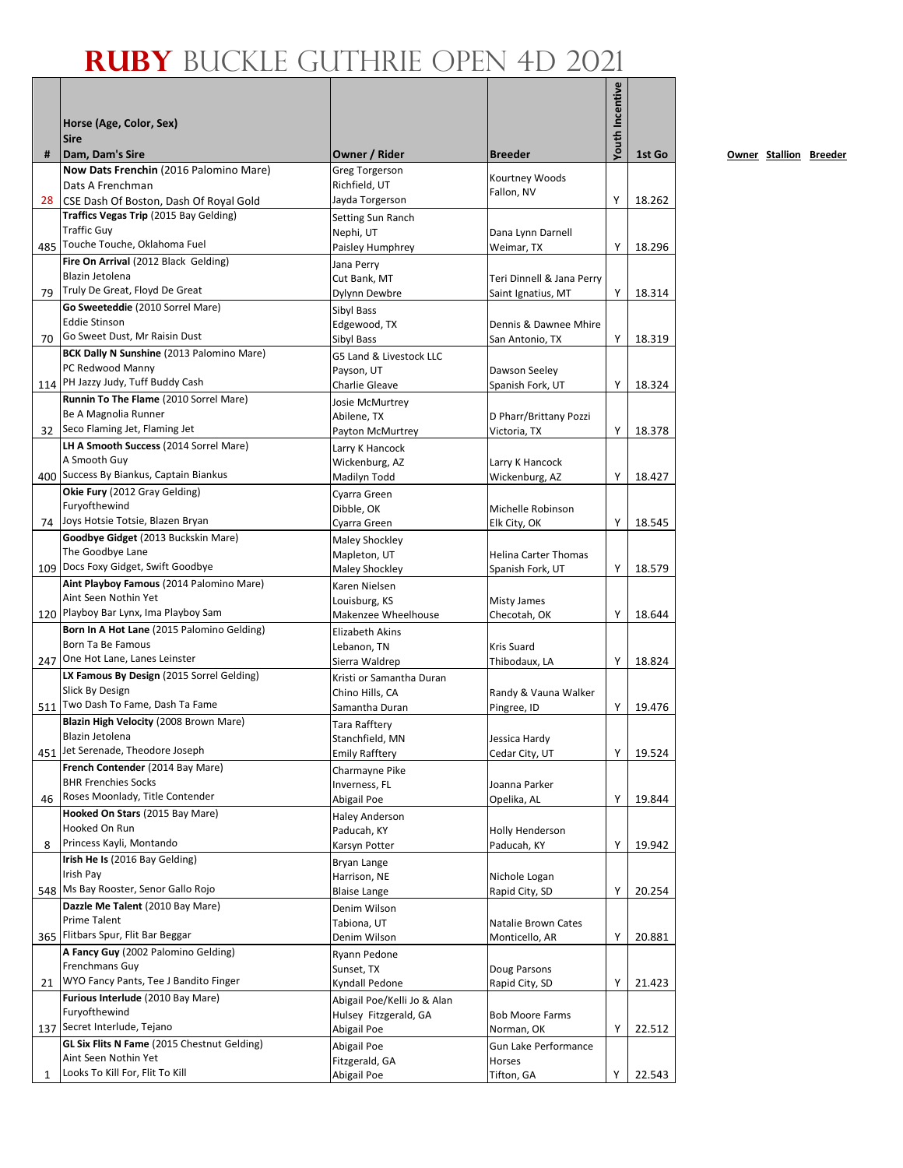## **Ruby** Buckle Guthrie Open 4D 2021

|              | Horse (Age, Color, Sex)                                                                          |                                                    |                                        | <b>Youth Incentive</b> |        |
|--------------|--------------------------------------------------------------------------------------------------|----------------------------------------------------|----------------------------------------|------------------------|--------|
| #            | <b>Sire</b><br>Dam, Dam's Sire                                                                   | Owner / Rider                                      | <b>Breeder</b>                         |                        | 1st Go |
|              | Now Dats Frenchin (2016 Palomino Mare)<br>Dats A Frenchman                                       | <b>Greg Torgerson</b><br>Richfield, UT             | Kourtney Woods<br>Fallon, NV           |                        |        |
| 28           | CSE Dash Of Boston, Dash Of Royal Gold                                                           | Jayda Torgerson                                    |                                        | Y                      | 18.262 |
|              | Traffics Vegas Trip (2015 Bay Gelding)<br><b>Traffic Guy</b><br>485 Touche Touche, Oklahoma Fuel | Setting Sun Ranch<br>Nephi, UT<br>Paisley Humphrey | Dana Lynn Darnell<br>Weimar, TX        | Υ                      | 18.296 |
|              | Fire On Arrival (2012 Black Gelding)                                                             | Jana Perry                                         |                                        |                        |        |
|              | Blazin Jetolena                                                                                  | Cut Bank, MT                                       | Teri Dinnell & Jana Perry              |                        |        |
|              | 79 Truly De Great, Floyd De Great                                                                | Dylynn Dewbre                                      | Saint Ignatius, MT                     | Υ                      | 18.314 |
|              | Go Sweeteddie (2010 Sorrel Mare)                                                                 | Sibyl Bass                                         |                                        |                        |        |
|              | <b>Eddie Stinson</b>                                                                             | Edgewood, TX                                       | Dennis & Dawnee Mhire                  |                        |        |
|              | 70 Go Sweet Dust, Mr Raisin Dust                                                                 | Sibyl Bass                                         | San Antonio, TX                        | Y                      | 18.319 |
|              | BCK Dally N Sunshine (2013 Palomino Mare)                                                        | G5 Land & Livestock LLC                            |                                        |                        |        |
|              | PC Redwood Manny<br>114 PH Jazzy Judy, Tuff Buddy Cash                                           | Payson, UT                                         | Dawson Seeley                          |                        |        |
|              | Runnin To The Flame (2010 Sorrel Mare)                                                           | Charlie Gleave                                     | Spanish Fork, UT                       | Υ                      | 18.324 |
|              | Be A Magnolia Runner                                                                             | Josie McMurtrey                                    |                                        |                        |        |
| 32           | Seco Flaming Jet, Flaming Jet                                                                    | Abilene, TX<br>Payton McMurtrey                    | D Pharr/Brittany Pozzi<br>Victoria, TX | Y                      | 18.378 |
|              | LH A Smooth Success (2014 Sorrel Mare)                                                           | Larry K Hancock                                    |                                        |                        |        |
|              | A Smooth Guy                                                                                     | Wickenburg, AZ                                     | Larry K Hancock                        |                        |        |
|              | 400 Success By Biankus, Captain Biankus                                                          | Madilyn Todd                                       | Wickenburg, AZ                         | Υ                      | 18.427 |
|              | Okie Fury (2012 Gray Gelding)                                                                    | Cyarra Green                                       |                                        |                        |        |
|              | Furyofthewind                                                                                    | Dibble, OK                                         | Michelle Robinson                      |                        |        |
|              | 74 Joys Hotsie Totsie, Blazen Bryan                                                              | Cyarra Green                                       | Elk City, OK                           | Υ                      | 18.545 |
|              | Goodbye Gidget (2013 Buckskin Mare)                                                              | Maley Shockley                                     |                                        |                        |        |
|              | The Goodbye Lane                                                                                 | Mapleton, UT                                       | <b>Helina Carter Thomas</b>            |                        |        |
|              | 109 Docs Foxy Gidget, Swift Goodbye                                                              | Maley Shockley                                     | Spanish Fork, UT                       | Υ                      | 18.579 |
|              | Aint Playboy Famous (2014 Palomino Mare)<br>Aint Seen Nothin Yet                                 | Karen Nielsen                                      |                                        |                        |        |
|              | 120 Playboy Bar Lynx, Ima Playboy Sam                                                            | Louisburg, KS<br>Makenzee Wheelhouse               | <b>Misty James</b><br>Checotah, OK     | Υ                      | 18.644 |
|              | Born In A Hot Lane (2015 Palomino Gelding)                                                       | Elizabeth Akins                                    |                                        |                        |        |
|              | Born Ta Be Famous                                                                                | Lebanon, TN                                        | <b>Kris Suard</b>                      |                        |        |
|              | 247 One Hot Lane, Lanes Leinster                                                                 | Sierra Waldrep                                     | Thibodaux, LA                          | Υ                      | 18.824 |
|              | LX Famous By Design (2015 Sorrel Gelding)                                                        | Kristi or Samantha Duran                           |                                        |                        |        |
|              | Slick By Design                                                                                  | Chino Hills, CA                                    | Randy & Vauna Walker                   |                        |        |
|              | 511 Two Dash To Fame, Dash Ta Fame                                                               | Samantha Duran                                     | Pingree, ID                            | Υ                      | 19.476 |
|              | Blazin High Velocity (2008 Brown Mare)                                                           | Tara Rafftery                                      |                                        |                        |        |
|              | Blazin Jetolena<br>451 Jet Serenade, Theodore Joseph                                             | Stanchfield, MN                                    | Jessica Hardy                          |                        |        |
|              | French Contender (2014 Bay Mare)                                                                 | <b>Emily Rafftery</b>                              | Cedar City, UT                         | Υ                      | 19.524 |
|              | <b>BHR Frenchies Socks</b>                                                                       | Charmayne Pike                                     | Joanna Parker                          |                        |        |
| 46           | Roses Moonlady, Title Contender                                                                  | Inverness, FL<br>Abigail Poe                       | Opelika, AL                            | Υ                      | 19.844 |
|              | Hooked On Stars (2015 Bay Mare)                                                                  | <b>Haley Anderson</b>                              |                                        |                        |        |
|              | Hooked On Run                                                                                    | Paducah, KY                                        | Holly Henderson                        |                        |        |
| 8            | Princess Kayli, Montando                                                                         | Karsyn Potter                                      | Paducah, KY                            | Υ                      | 19.942 |
|              | Irish He Is (2016 Bay Gelding)                                                                   | Bryan Lange                                        |                                        |                        |        |
|              | Irish Pay                                                                                        | Harrison, NE                                       | Nichole Logan                          |                        |        |
|              | 548 Ms Bay Rooster, Senor Gallo Rojo                                                             | <b>Blaise Lange</b>                                | Rapid City, SD                         | Υ                      | 20.254 |
|              | Dazzle Me Talent (2010 Bay Mare)                                                                 | Denim Wilson                                       |                                        |                        |        |
|              | Prime Talent<br>Flitbars Spur, Flit Bar Beggar                                                   | Tabiona, UT                                        | Natalie Brown Cates                    |                        |        |
| 365          | A Fancy Guy (2002 Palomino Gelding)                                                              | Denim Wilson                                       | Monticello, AR                         | Υ                      | 20.881 |
|              | Frenchmans Guy                                                                                   | Ryann Pedone                                       |                                        |                        |        |
| 21           | WYO Fancy Pants, Tee J Bandito Finger                                                            | Sunset, TX<br>Kyndall Pedone                       | Doug Parsons<br>Rapid City, SD         | Υ                      | 21.423 |
|              | Furious Interlude (2010 Bay Mare)                                                                | Abigail Poe/Kelli Jo & Alan                        |                                        |                        |        |
|              | Furyofthewind                                                                                    | Hulsey Fitzgerald, GA                              | <b>Bob Moore Farms</b>                 |                        |        |
|              | 137 Secret Interlude, Tejano                                                                     | Abigail Poe                                        | Norman, OK                             | Υ                      | 22.512 |
|              | GL Six Flits N Fame (2015 Chestnut Gelding)                                                      | Abigail Poe                                        | Gun Lake Performance                   |                        |        |
|              | Aint Seen Nothin Yet                                                                             | Fitzgerald, GA                                     | Horses                                 |                        |        |
| $\mathbf{1}$ | Looks To Kill For, Flit To Kill                                                                  | Abigail Poe                                        | Tifton, GA                             | Υ                      | 22.543 |

**0wner Stallion Breeder**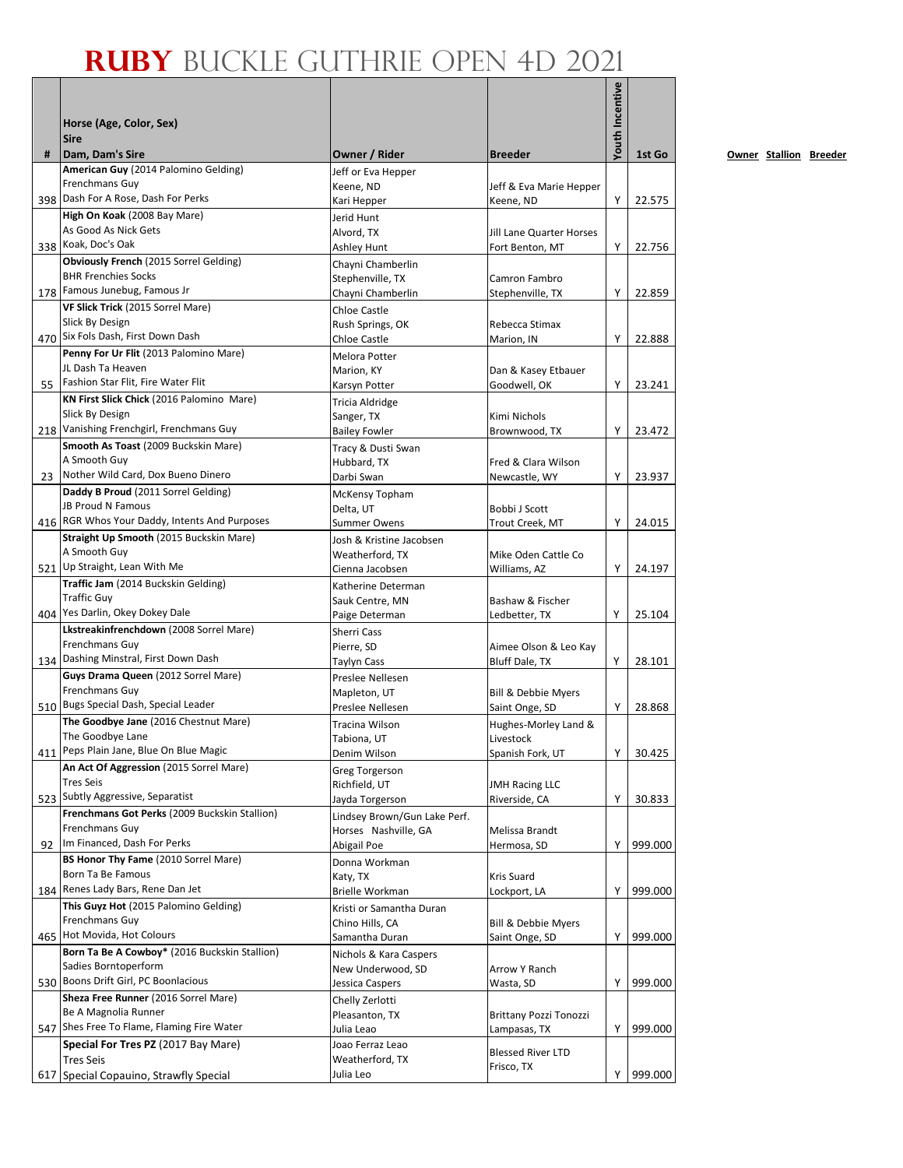## **Ruby** Buckle Guthrie Open 4D 2021

|     |                                                                              |                                       |                                                  | <b>Youth Incentive</b> |         |
|-----|------------------------------------------------------------------------------|---------------------------------------|--------------------------------------------------|------------------------|---------|
|     | Horse (Age, Color, Sex)                                                      |                                       |                                                  |                        |         |
|     | <b>Sire</b>                                                                  |                                       |                                                  |                        |         |
| #   | Dam, Dam's Sire                                                              | Owner / Rider                         | <b>Breeder</b>                                   |                        | 1st Go  |
|     | American Guy (2014 Palomino Gelding)                                         | Jeff or Eva Hepper                    |                                                  |                        |         |
|     | Frenchmans Guy<br>398 Dash For A Rose, Dash For Perks                        | Keene, ND<br>Kari Hepper              | Jeff & Eva Marie Hepper<br>Keene, ND             | Υ                      | 22.575  |
|     | High On Koak (2008 Bay Mare)                                                 | Jerid Hunt                            |                                                  |                        |         |
|     | As Good As Nick Gets                                                         | Alvord, TX                            | Jill Lane Quarter Horses                         |                        |         |
|     | 338 Koak, Doc's Oak                                                          | Ashley Hunt                           | Fort Benton, MT                                  | Υ                      | 22.756  |
|     | Obviously French (2015 Sorrel Gelding)<br><b>BHR Frenchies Socks</b>         | Chayni Chamberlin                     |                                                  |                        |         |
|     | 178 Famous Junebug, Famous Jr                                                | Stephenville, TX<br>Chayni Chamberlin | Camron Fambro<br>Stephenville, TX                | Υ                      | 22.859  |
|     | VF Slick Trick (2015 Sorrel Mare)                                            | Chloe Castle                          |                                                  |                        |         |
|     | Slick By Design                                                              | Rush Springs, OK                      | Rebecca Stimax                                   |                        |         |
|     | 470 Six Fols Dash, First Down Dash                                           | Chloe Castle                          | Marion, IN                                       | Y                      | 22.888  |
|     | Penny For Ur Flit (2013 Palomino Mare)                                       | Melora Potter                         |                                                  |                        |         |
|     | JL Dash Ta Heaven<br>55 Fashion Star Flit, Fire Water Flit                   | Marion, KY                            | Dan & Kasey Etbauer<br>Goodwell, OK              | Y                      | 23.241  |
|     | KN First Slick Chick (2016 Palomino Mare)                                    | Karsyn Potter<br>Tricia Aldridge      |                                                  |                        |         |
|     | Slick By Design                                                              | Sanger, TX                            | Kimi Nichols                                     |                        |         |
|     | 218 Vanishing Frenchgirl, Frenchmans Guy                                     | <b>Bailey Fowler</b>                  | Brownwood, TX                                    | Y                      | 23.472  |
|     | Smooth As Toast (2009 Buckskin Mare)                                         | Tracy & Dusti Swan                    |                                                  |                        |         |
|     | A Smooth Guy                                                                 | Hubbard, TX                           | Fred & Clara Wilson                              |                        |         |
|     | 23 Nother Wild Card, Dox Bueno Dinero<br>Daddy B Proud (2011 Sorrel Gelding) | Darbi Swan                            | Newcastle, WY                                    | Υ                      | 23.937  |
|     | <b>JB Proud N Famous</b>                                                     | McKensy Topham<br>Delta, UT           | Bobbi J Scott                                    |                        |         |
|     | 416 RGR Whos Your Daddy, Intents And Purposes                                | Summer Owens                          | Trout Creek, MT                                  | Υ                      | 24.015  |
|     | Straight Up Smooth (2015 Buckskin Mare)                                      | Josh & Kristine Jacobsen              |                                                  |                        |         |
|     | A Smooth Guy                                                                 | Weatherford, TX                       | Mike Oden Cattle Co                              |                        |         |
|     | 521 Up Straight, Lean With Me                                                | Cienna Jacobsen                       | Williams, AZ                                     | Y                      | 24.197  |
|     | Traffic Jam (2014 Buckskin Gelding)<br><b>Traffic Guy</b>                    | Katherine Determan                    |                                                  |                        |         |
|     | 404 Yes Darlin, Okey Dokey Dale                                              | Sauk Centre, MN<br>Paige Determan     | Bashaw & Fischer<br>Ledbetter, TX                | Y                      | 25.104  |
|     | Lkstreakinfrenchdown (2008 Sorrel Mare)                                      | Sherri Cass                           |                                                  |                        |         |
|     | Frenchmans Guy                                                               | Pierre, SD                            | Aimee Olson & Leo Kay                            |                        |         |
|     | 134 Dashing Minstral, First Down Dash                                        | Taylyn Cass                           | <b>Bluff Dale, TX</b>                            | Y                      | 28.101  |
|     | Guys Drama Queen (2012 Sorrel Mare)<br>Frenchmans Guy                        | Preslee Nellesen                      |                                                  |                        |         |
|     | 510 Bugs Special Dash, Special Leader                                        | Mapleton, UT<br>Preslee Nellesen      | <b>Bill &amp; Debbie Myers</b><br>Saint Onge, SD | Υ                      | 28.868  |
|     | The Goodbye Jane (2016 Chestnut Mare)                                        | Tracina Wilson                        | Hughes-Morley Land &                             |                        |         |
|     | The Goodbye Lane                                                             | Tabiona, UT                           | Livestock                                        |                        |         |
|     | 411 Peps Plain Jane, Blue On Blue Magic                                      | Denim Wilson                          | Spanish Fork, UT                                 | Υ                      | 30.425  |
|     | An Act Of Aggression (2015 Sorrel Mare)<br><b>Tres Seis</b>                  | <b>Greg Torgerson</b>                 |                                                  |                        |         |
|     | 523 Subtly Aggressive, Separatist                                            | Richfield, UT<br>Jayda Torgerson      | <b>JMH Racing LLC</b><br>Riverside, CA           | Υ                      | 30.833  |
|     | Frenchmans Got Perks (2009 Buckskin Stallion)                                | Lindsey Brown/Gun Lake Perf.          |                                                  |                        |         |
|     | Frenchmans Guy                                                               | Horses Nashville, GA                  | Melissa Brandt                                   |                        |         |
| 92  | Im Financed, Dash For Perks                                                  | Abigail Poe                           | Hermosa, SD                                      | Y                      | 999.000 |
|     | BS Honor Thy Fame (2010 Sorrel Mare)<br>Born Ta Be Famous                    | Donna Workman                         |                                                  |                        |         |
|     | 184 Renes Lady Bars, Rene Dan Jet                                            | Katy, TX<br>Brielle Workman           | Kris Suard<br>Lockport, LA                       | Y                      | 999.000 |
|     | This Guyz Hot (2015 Palomino Gelding)                                        | Kristi or Samantha Duran              |                                                  |                        |         |
|     | Frenchmans Guy                                                               | Chino Hills, CA                       | <b>Bill &amp; Debbie Myers</b>                   |                        |         |
|     | 465 Hot Movida, Hot Colours                                                  | Samantha Duran                        | Saint Onge, SD                                   | Y                      | 999.000 |
|     | Born Ta Be A Cowboy* (2016 Buckskin Stallion)                                | Nichols & Kara Caspers                |                                                  |                        |         |
|     | Sadies Borntoperform<br>530 Boons Drift Girl, PC Boonlacious                 | New Underwood, SD                     | Arrow Y Ranch                                    |                        |         |
|     | Sheza Free Runner (2016 Sorrel Mare)                                         | Jessica Caspers<br>Chelly Zerlotti    | Wasta, SD                                        | Υ                      | 999.000 |
|     | Be A Magnolia Runner                                                         | Pleasanton, TX                        | Brittany Pozzi Tonozzi                           |                        |         |
|     | 547 Shes Free To Flame, Flaming Fire Water                                   | Julia Leao                            | Lampasas, TX                                     | Υ                      | 999.000 |
|     | Special For Tres PZ (2017 Bay Mare)                                          | Joao Ferraz Leao                      | <b>Blessed River LTD</b>                         |                        |         |
|     | <b>Tres Seis</b>                                                             | Weatherford, TX                       | Frisco, TX                                       |                        |         |
| 617 | Special Copauino, Strawfly Special                                           | Julia Leo                             |                                                  | Y                      | 999.000 |

**0wner Stallion Breeder**